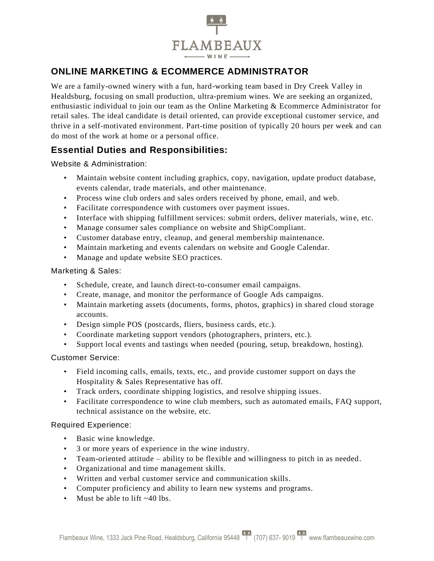

# **ONLINE MARKETING & ECOMMERCE ADMINISTRATOR**

We are a family-owned winery with a fun, hard-working team based in Dry Creek Valley in Healdsburg, focusing on small production, ultra-premium wines. We are seeking an organized, enthusiastic individual to join our team as the Online Marketing & Ecommerce Administrator for retail sales. The ideal candidate is detail oriented, can provide exceptional customer service, and thrive in a self-motivated environment. Part-time position of typically 20 hours per week and can do most of the work at home or a personal office.

## **Essential Duties and Responsibilities:**

Website & Administration:

- Maintain website content including graphics, copy, navigation, update product database, events calendar, trade materials, and other maintenance.
- Process wine club orders and sales orders received by phone, email, and web.
- Facilitate correspondence with customers over payment issues.
- Interface with shipping fulfillment services: submit orders, deliver materials, wine, etc.
- Manage consumer sales compliance on website and ShipCompliant.
- Customer database entry, cleanup, and general membership maintenance.
- Maintain marketing and events calendars on website and Google Calendar.
- Manage and update website SEO practices.

#### Marketing & Sales:

- Schedule, create, and launch direct-to-consumer email campaigns.
- Create, manage, and monitor the performance of Google Ads campaigns.
- Maintain marketing assets (documents, forms, photos, graphics) in shared cloud storage accounts.
- Design simple POS (postcards, fliers, business cards, etc.).
- Coordinate marketing support vendors (photographers, printers, etc.).
- Support local events and tastings when needed (pouring, setup, breakdown, hosting).

#### Customer Service:

- Field incoming calls, emails, texts, etc., and provide customer support on days the Hospitality & Sales Representative has off.
- Track orders, coordinate shipping logistics, and resolve shipping issues.
- Facilitate correspondence to wine club members, such as automated emails, FAQ support, technical assistance on the website, etc.

#### Required Experience:

- Basic wine knowledge.
- 3 or more years of experience in the wine industry.
- Team-oriented attitude ability to be flexible and willingness to pitch in as needed.
- Organizational and time management skills.
- Written and verbal customer service and communication skills.
- Computer proficiency and ability to learn new systems and programs.
- Must be able to lift ~40 lbs.